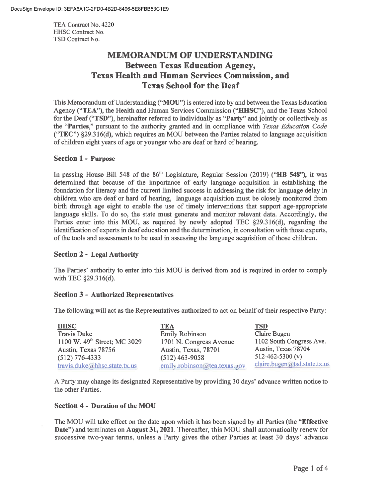TEA Contract No. 4220 HHSC Contract No. TSO Contract No.

# **MEMORANDUM OF UNDERSTANDING Between Texas Education Agency, Texas Health and Human Services Commission, and Texas School for the Deaf**

This Memorandum of Understanding **("MOU")** is entered into by and between the Texas Education Agency ("TEA"), the Health and Human Services Commission ("HHSC"), and the Texas School for the Deaf **("TSD"),** hereinafter referred to individually as **"Party"** and jointly or collectively as the **"Parties,"** pursuant to the authority granted and in compliance with *Texas Education Code*  **("TEC")** §29.316(d), which requires an MOU between the Parties related to language acquisition of children eight years of age or younger who are deaf or hard of hearing.

## **Section 1** - **Purpose**

In passing House Bill 548 of the 86<sup>th</sup> Legislature, Regular Session (2019) ("HB 548"), it was determined that because of the importance of early language acquisition in establishing the foundation for literacy and the current limited success in addressing the risk for language delay in children who are deaf or hard of hearing, language acquisition must be closely monitored from birth through age eight to enable the use of timely interventions that support age-appropriate language skills. To do so, the state must generate and monitor relevant data. Accordingly, the Parties enter into this MOU, as required by newly adopted TEC §29.316(d), regarding the identification of experts in deaf education and the determination, in consultation with those experts, of the tools and assessments to be used in assessing the language acquisition of those children.

## **Section 2** - **Legal Authority**

The Parties' authority to enter into this MOU is derived from and is required in order to comply with TEC §29.316(d).

## **Section 3** - **Authorized Representatives**

The following will act as the Representatives authorized to act on behalf of their respective Party:

| <b>HHSC</b>                    | <b>TEA</b>                   | <b>TSD</b>                   |
|--------------------------------|------------------------------|------------------------------|
| <b>Travis Duke</b>             | <b>Emily Robinson</b>        | Claire Bugen                 |
| 1100 W. $49th$ Street; MC 3029 | 1701 N. Congress Avenue      | 1102 South Congress Ave.     |
| Austin, Texas 78756            | Austin, Texas, 78701         | Austin, Texas 78704          |
| $(512)$ 776-4333               | $(512)$ 463-9058             | 512-462-5300 (v)             |
| travis.duke@hhsc.state.tx.us   | emily.robinson@tea.texas.gov | claire.bugen@tsd.state.tx.us |

A Party may change its designated Representative by providing 30 days' advance written notice to the other Parties.

## **Section 4** - **Duration of the MOU**

The MOU will take effect on the date upon which it has been signed by all Parties (the **"Effective Date")** and terminates on **August 31, 2021.** Thereafter, this MOU shall automatically renew for successive two-year terms, unless a Party gives the other Parties at least 30 days' advance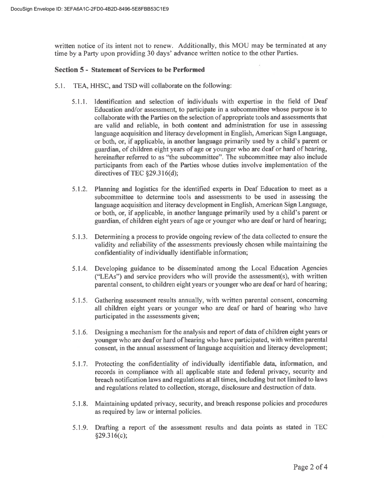written notice of its intent not to renew. Additionally, this MOU may be terminated at any time by a Party upon providing 30 days' advance written notice to the other Parties.

#### **Section 5** - **Statement of Services to be Performed**

- 5.1. TEA, HHSC, and TSD will collaborate on the following:
	- 5.1.1. Identification and selection of individuals with expertise in the field of Deaf Education and/or assessment, to participate in a subcommittee whose purpose is to collaborate with the Parties on the selection of appropriate tools and assessments that are valid and reliable, in both content and administration for use in assessing language acquisition and literacy development in English, American Sign Language, or both, or, if applicable, in another language primarily used by a child's parent or guardian, of children eight years of age or younger who are deaf or hard of hearing, hereinafter referred to as "the subcommittee". The subcommittee may also include participants from each of the Parties whose duties involve implementation of the directives of TEC  $\S29.316(d)$ ;
	- 5.1.2. Planning and logistics for the identified experts in Deaf Education to meet as a subcommittee to determine tools and assessments to be used in assessing the language acquisition and literacy development in English, American Sign Language, or both, or, if applicable, in another language primarily used by a child's parent or guardian, of children eight years of age or younger who are deaf or hard of hearing;
	- 5.1.3. Determining a process to provide ongoing review of the data collected to ensure the validity and reliability of the assessments previously chosen while maintaining the confidentiality of individually identifiable information;
	- 5.1 A. Developing guidance to be disseminated among the Local Education Agencies ("LEAs") and service providers who will provide the assessment(s), with written parental consent, to children eight years or younger who are deaf or hard of hearing;
	- 5.1.5. Gathering assessment results annually, with written parental consent, concerning all children eight years or younger who are deaf or hard of hearing who have participated in the assessments given;
	- 5.1.6. Designing a mechanism for the analysis and report of data of children eight years or younger who are deaf or hard of hearing who have participated, with written parental consent, in the annual assessment of language acquisition and literacy development;
	- 5.1.7. Protecting the confidentiality of individually identifiable data, information, and records in compliance with all applicable state and federal privacy, security and breach notification laws and regulations at all times, including but not limited to laws and regulations related to collection, storage, disclosure and destruction of data.
	- 5.1.8. Maintaining updated privacy, security, and breach response policies and procedures as required by law or internal policies.
	- 5.1.9. Drafting a report of the assessment results and data points as stated m TEC §29.316(c);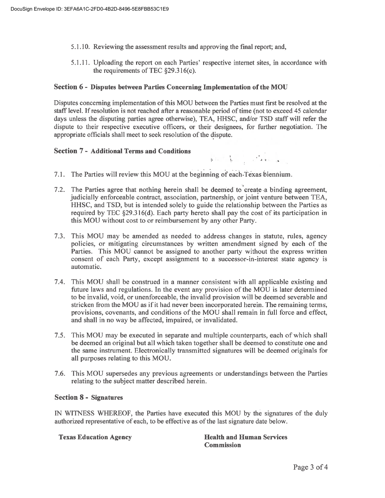- 5.1.10. Reviewing the assessment results and approving the final report; and,
- 5.1.11. Uploading the report on each Parties' respective internet sites, in accordance with the requirements of TEC  $$29.316(c)$ .

#### **Section 6** - **Disputes between Parties Concerning Implementation of the MOU**

Disputes concerning implementation of this MOU between the Parties must first be resolved at the staff level. If resolution is not reached after a reasonable period of time (not to exceed 45 calendar days unless the disputing parties agree otherwise), TEA, HHSC, and/or TSD staff will refer the dispute to their respective executive officers, or their designees, for further negotiation. The appropriate officials shall meet to seek resolution of the dispute.

#### **Section 7** - **Additional Terms and Conditions**

- 7.1. The Parties will review this MOU at the beginning of each Texas biennium.
- 7.2. The Parties agree that nothing herein shall be deemed to'create ,a binding agreement, judicially enforceable contract, association, partnership, or joint venture between TEA, HHSC, and TSD, but is intended solely to guide the relationship between the Parties as required by TEC  $\S29.316(d)$ . Each party hereto shall pay the cost of its participation in this MOU without cost to or reimbursement by any other Party.
- 7.3. This MOU may be amended as needed to address changes in statute, rules, agency policies, or mitigating circumstances by written amendment signed by each of the Parties. This MOU cannot be assigned to another party without the express written consent of each Party, except assignment to a successor-in-interest state agency is automatic.
- 7.4. This MOU shall be construed in a manner consistent with all applicable existing and future laws and regulations. In the event any provision of the MOU is later determined to be invalid, void, or unenforceable, the invalid provision will be deemed severable and stricken from the MOU as if it had never been incorporated herein. The remaining terms, provisions, covenants, and conditions of the MOU shall remain in full force and effect, and shall in no way be affected, impaired, or invalidated.
- 7.5. This MOU may be executed in separate and multiple counterparts, each of which shall be deemed an original but all which taken together shall be deemed to constitute one and the same instrument. Electronically transmitted signatures will be deemed originals for all purposes relating to this MOU.
- 7.6. This MOU supersedes any previous agreements or understandings between the Parties relating to the subject matter described herein.

#### **Section 8** - **Signatures**

IN WITNESS WHEREOF, the Parties have executed this MOU by the signatures of the duly authorized representative of each, to be effective as of the last signature date below.

**Texas Education Agency Health and Human Services Commission**